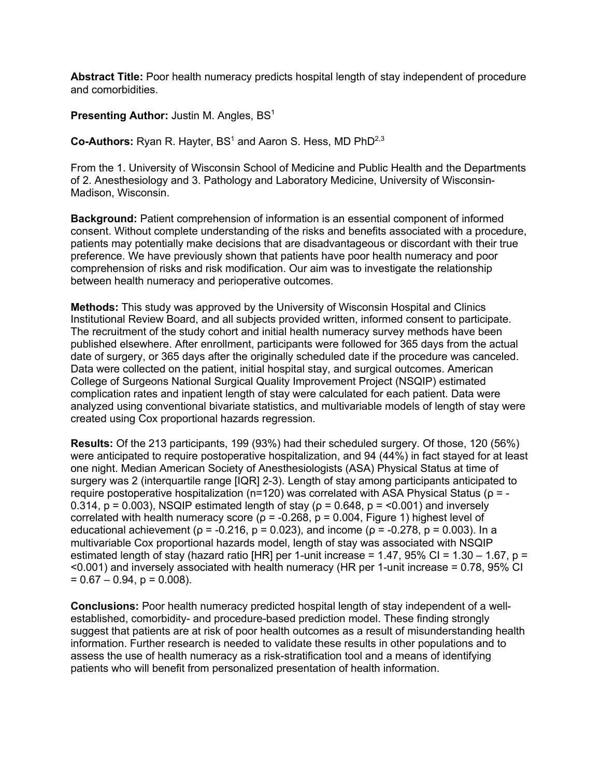**Abstract Title:** Poor health numeracy predicts hospital length of stay independent of procedure and comorbidities.

**Presenting Author:** Justin M. Angles, BS<sup>1</sup>

**Co-Authors:** Ryan R. Hayter, BS<sup>1</sup> and Aaron S. Hess, MD PhD<sup>2,3</sup>

From the 1. University of Wisconsin School of Medicine and Public Health and the Departments of 2. Anesthesiology and 3. Pathology and Laboratory Medicine, University of Wisconsin-Madison, Wisconsin.

**Background:** Patient comprehension of information is an essential component of informed consent. Without complete understanding of the risks and benefits associated with a procedure, patients may potentially make decisions that are disadvantageous or discordant with their true preference. We have previously shown that patients have poor health numeracy and poor comprehension of risks and risk modification. Our aim was to investigate the relationship between health numeracy and perioperative outcomes.

**Methods:** This study was approved by the University of Wisconsin Hospital and Clinics Institutional Review Board, and all subjects provided written, informed consent to participate. The recruitment of the study cohort and initial health numeracy survey methods have been published elsewhere. After enrollment, participants were followed for 365 days from the actual date of surgery, or 365 days after the originally scheduled date if the procedure was canceled. Data were collected on the patient, initial hospital stay, and surgical outcomes. American College of Surgeons National Surgical Quality Improvement Project (NSQIP) estimated complication rates and inpatient length of stay were calculated for each patient. Data were analyzed using conventional bivariate statistics, and multivariable models of length of stay were created using Cox proportional hazards regression.

**Results:** Of the 213 participants, 199 (93%) had their scheduled surgery. Of those, 120 (56%) were anticipated to require postoperative hospitalization, and 94 (44%) in fact stayed for at least one night. Median American Society of Anesthesiologists (ASA) Physical Status at time of surgery was 2 (interquartile range [IQR] 2-3). Length of stay among participants anticipated to require postoperative hospitalization ( $n=120$ ) was correlated with ASA Physical Status ( $ρ = -$ 0.314,  $p = 0.003$ ), NSQIP estimated length of stay ( $p = 0.648$ ,  $p = 0.001$ ) and inversely correlated with health numeracy score ( $p = -0.268$ ,  $p = 0.004$ , Figure 1) highest level of educational achievement ( $ρ = -0.216$ ,  $p = 0.023$ ), and income ( $ρ = -0.278$ ,  $p = 0.003$ ). In a multivariable Cox proportional hazards model, length of stay was associated with NSQIP estimated length of stay (hazard ratio [HR] per 1-unit increase =  $1.47$ , 95% CI =  $1.30 - 1.67$ , p = <0.001) and inversely associated with health numeracy (HR per 1-unit increase = 0.78, 95% CI  $= 0.67 - 0.94$ ,  $p = 0.008$ ).

**Conclusions:** Poor health numeracy predicted hospital length of stay independent of a wellestablished, comorbidity- and procedure-based prediction model. These finding strongly suggest that patients are at risk of poor health outcomes as a result of misunderstanding health information. Further research is needed to validate these results in other populations and to assess the use of health numeracy as a risk-stratification tool and a means of identifying patients who will benefit from personalized presentation of health information.